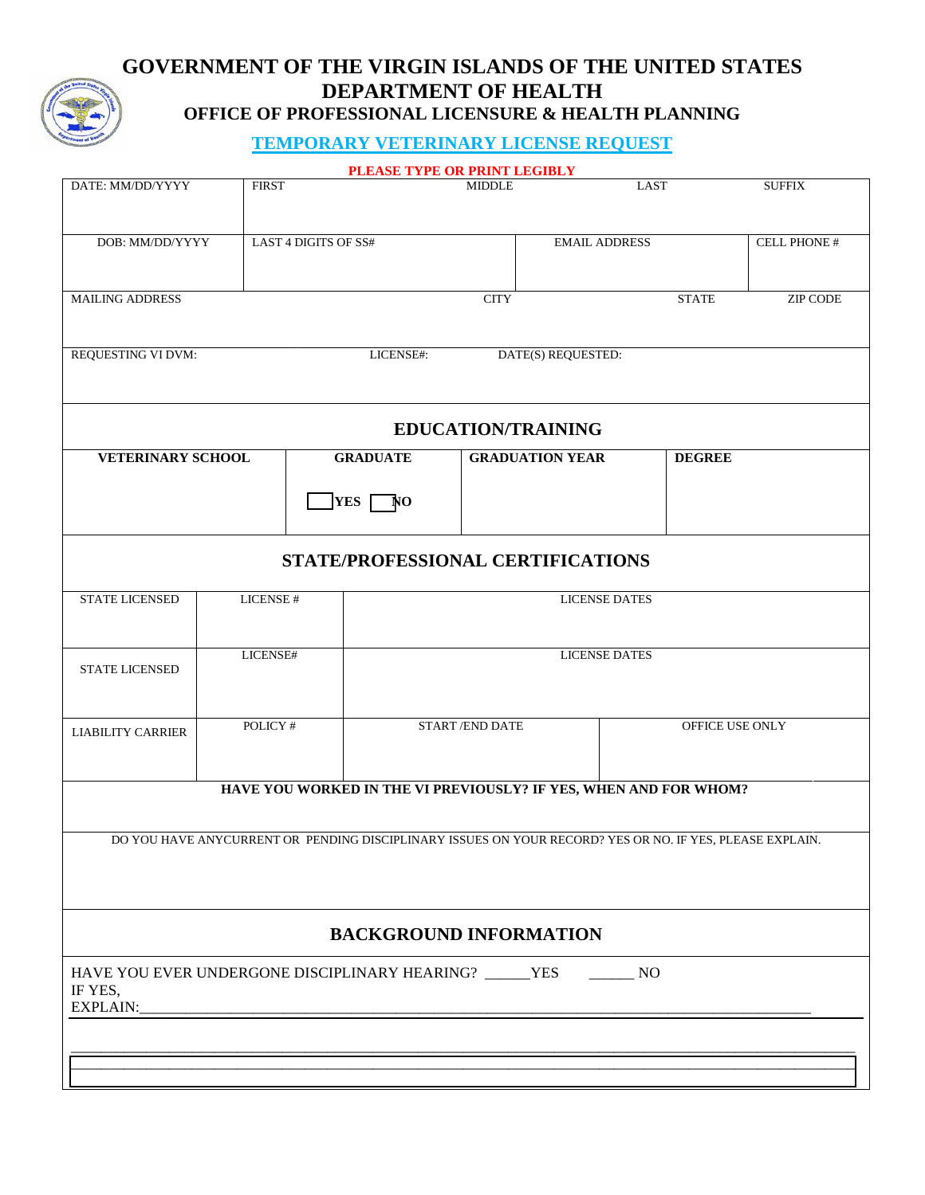## **GOVERNMENT OF THE VIRGIN ISLANDS OF THE UNITED STATES DEPARTMENT OF HEALTH OFFICE OF PROFESSIONAL LICENSURE & HEALTH PLANNING**

## **TEMPORARY VETERINARY LICENSE REQUEST**

|                                                                                                          |                                         |           |                 | PLEASE TYPE OR PRINT LEGIBLY                                     |                           |                    |                 |               |                 |
|----------------------------------------------------------------------------------------------------------|-----------------------------------------|-----------|-----------------|------------------------------------------------------------------|---------------------------|--------------------|-----------------|---------------|-----------------|
| DATE: MM/DD/YYYY<br><b>FIRST</b>                                                                         |                                         |           |                 | <b>MIDDLE</b>                                                    |                           |                    | <b>LAST</b>     |               | <b>SUFFIX</b>   |
|                                                                                                          |                                         |           |                 |                                                                  |                           |                    |                 |               |                 |
|                                                                                                          |                                         |           |                 |                                                                  |                           |                    |                 |               |                 |
|                                                                                                          | DOB: MM/DD/YYYY<br>LAST 4 DIGITS OF SS# |           |                 |                                                                  | <b>EMAIL ADDRESS</b>      |                    |                 |               | CELL PHONE #    |
|                                                                                                          |                                         |           |                 |                                                                  |                           |                    |                 |               |                 |
|                                                                                                          |                                         |           |                 |                                                                  |                           |                    |                 |               |                 |
| <b>MAILING ADDRESS</b>                                                                                   |                                         |           |                 |                                                                  |                           |                    |                 | <b>STATE</b>  | <b>ZIP CODE</b> |
|                                                                                                          |                                         |           |                 |                                                                  |                           |                    |                 |               |                 |
|                                                                                                          |                                         |           |                 |                                                                  |                           |                    |                 |               |                 |
| REQUESTING VI DVM:                                                                                       |                                         |           |                 | LICENSE#:                                                        |                           | DATE(S) REQUESTED: |                 |               |                 |
|                                                                                                          |                                         |           |                 |                                                                  |                           |                    |                 |               |                 |
|                                                                                                          |                                         |           |                 |                                                                  |                           |                    |                 |               |                 |
|                                                                                                          |                                         |           |                 |                                                                  |                           |                    |                 |               |                 |
|                                                                                                          |                                         |           |                 |                                                                  | <b>EDUCATION/TRAINING</b> |                    |                 |               |                 |
|                                                                                                          |                                         |           |                 |                                                                  |                           |                    |                 |               |                 |
| <b>VETERINARY SCHOOL</b>                                                                                 |                                         |           | <b>GRADUATE</b> |                                                                  | <b>GRADUATION YEAR</b>    |                    |                 | <b>DEGREE</b> |                 |
|                                                                                                          |                                         |           |                 |                                                                  |                           |                    |                 |               |                 |
|                                                                                                          |                                         |           |                 |                                                                  |                           |                    |                 |               |                 |
|                                                                                                          |                                         |           |                 |                                                                  |                           |                    |                 |               |                 |
|                                                                                                          |                                         |           |                 |                                                                  |                           |                    |                 |               |                 |
|                                                                                                          |                                         |           |                 | STATE/PROFESSIONAL CERTIFICATIONS                                |                           |                    |                 |               |                 |
|                                                                                                          |                                         |           |                 |                                                                  |                           |                    |                 |               |                 |
|                                                                                                          |                                         |           |                 |                                                                  |                           |                    |                 |               |                 |
| STATE LICENSED                                                                                           |                                         | LICENSE # |                 | <b>LICENSE DATES</b>                                             |                           |                    |                 |               |                 |
|                                                                                                          |                                         |           |                 |                                                                  |                           |                    |                 |               |                 |
|                                                                                                          |                                         |           |                 |                                                                  |                           |                    |                 |               |                 |
| <b>STATE LICENSED</b>                                                                                    | LICENSE#                                |           |                 | <b>LICENSE DATES</b>                                             |                           |                    |                 |               |                 |
|                                                                                                          |                                         |           |                 |                                                                  |                           |                    |                 |               |                 |
|                                                                                                          |                                         |           |                 |                                                                  |                           |                    |                 |               |                 |
|                                                                                                          |                                         |           |                 | START/END DATE                                                   |                           |                    | OFFICE USE ONLY |               |                 |
| LIABILITY CARRIER                                                                                        | POLICY #                                |           |                 |                                                                  |                           |                    |                 |               |                 |
|                                                                                                          |                                         |           |                 |                                                                  |                           |                    |                 |               |                 |
|                                                                                                          |                                         |           |                 |                                                                  |                           |                    |                 |               |                 |
|                                                                                                          |                                         |           |                 | HAVE YOU WORKED IN THE VI PREVIOUSLY? IF YES, WHEN AND FOR WHOM? |                           |                    |                 |               |                 |
|                                                                                                          |                                         |           |                 |                                                                  |                           |                    |                 |               |                 |
|                                                                                                          |                                         |           |                 |                                                                  |                           |                    |                 |               |                 |
| DO YOU HAVE ANYCURRENT OR PENDING DISCIPLINARY ISSUES ON YOUR RECORD? YES OR NO. IF YES. PLEASE EXPLAIN. |                                         |           |                 |                                                                  |                           |                    |                 |               |                 |
|                                                                                                          |                                         |           |                 |                                                                  |                           |                    |                 |               |                 |
|                                                                                                          |                                         |           |                 |                                                                  |                           |                    |                 |               |                 |
|                                                                                                          |                                         |           |                 |                                                                  |                           |                    |                 |               |                 |
|                                                                                                          |                                         |           |                 |                                                                  |                           |                    |                 |               |                 |
| <b>BACKGROUND INFORMATION</b>                                                                            |                                         |           |                 |                                                                  |                           |                    |                 |               |                 |
|                                                                                                          |                                         |           |                 |                                                                  |                           |                    |                 |               |                 |
| HAVE YOU EVER UNDERGONE DISCIPLINARY HEARING? _____YES<br>$\rule{1em}{0.15mm}$ NO                        |                                         |           |                 |                                                                  |                           |                    |                 |               |                 |
| IF YES,                                                                                                  |                                         |           |                 |                                                                  |                           |                    |                 |               |                 |
| EXPLAIN:                                                                                                 |                                         |           |                 |                                                                  |                           |                    |                 |               |                 |
|                                                                                                          |                                         |           |                 |                                                                  |                           |                    |                 |               |                 |
|                                                                                                          |                                         |           |                 |                                                                  |                           |                    |                 |               |                 |
|                                                                                                          |                                         |           |                 |                                                                  |                           |                    |                 |               |                 |
|                                                                                                          |                                         |           |                 |                                                                  |                           |                    |                 |               |                 |